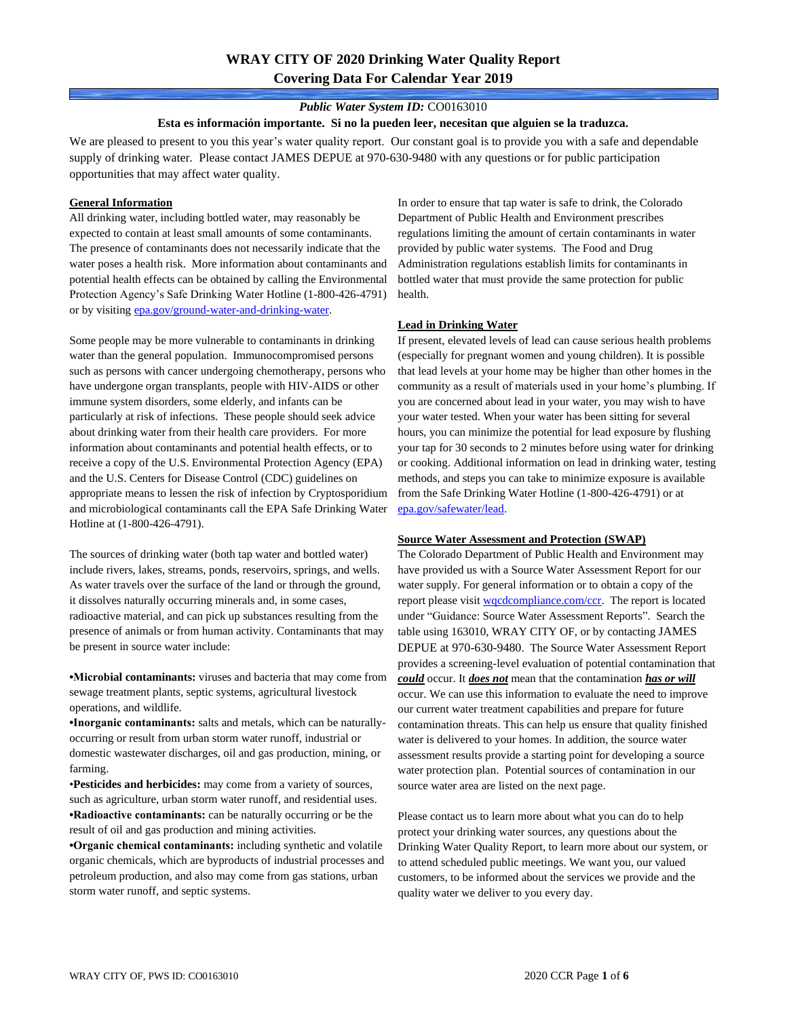# **WRAY CITY OF 2020 Drinking Water Quality Report Covering Data For Calendar Year 2019**

### *Public Water System ID:* CO0163010

#### **Esta es información importante. Si no la pueden leer, necesitan que alguien se la traduzca.**

We are pleased to present to you this year's water quality report. Our constant goal is to provide you with a safe and dependable supply of drinking water. Please contact JAMES DEPUE at 970-630-9480 with any questions or for public participation opportunities that may affect water quality.

#### **General Information**

All drinking water, including bottled water, may reasonably be expected to contain at least small amounts of some contaminants. The presence of contaminants does not necessarily indicate that the water poses a health risk. More information about contaminants and potential health effects can be obtained by calling the Environmental Protection Agency's Safe Drinking Water Hotline (1-800-426-4791) or by visiting [epa.gov/ground-water-and-drinking-water.](https://www.epa.gov/ground-water-and-drinking-water)

Some people may be more vulnerable to contaminants in drinking water than the general population. Immunocompromised persons such as persons with cancer undergoing chemotherapy, persons who have undergone organ transplants, people with HIV-AIDS or other immune system disorders, some elderly, and infants can be particularly at risk of infections. These people should seek advice about drinking water from their health care providers. For more information about contaminants and potential health effects, or to receive a copy of the U.S. Environmental Protection Agency (EPA) and the U.S. Centers for Disease Control (CDC) guidelines on appropriate means to lessen the risk of infection by Cryptosporidium and microbiological contaminants call the EPA Safe Drinking Water Hotline at (1-800-426-4791).

The sources of drinking water (both tap water and bottled water) include rivers, lakes, streams, ponds, reservoirs, springs, and wells. As water travels over the surface of the land or through the ground, it dissolves naturally occurring minerals and, in some cases, radioactive material, and can pick up substances resulting from the presence of animals or from human activity. Contaminants that may be present in source water include:

**•Microbial contaminants:** viruses and bacteria that may come from sewage treatment plants, septic systems, agricultural livestock operations, and wildlife.

**•Inorganic contaminants:** salts and metals, which can be naturallyoccurring or result from urban storm water runoff, industrial or domestic wastewater discharges, oil and gas production, mining, or farming.

•**Pesticides and herbicides:** may come from a variety of sources, such as agriculture, urban storm water runoff, and residential uses. **•Radioactive contaminants:** can be naturally occurring or be the result of oil and gas production and mining activities.

**•Organic chemical contaminants:** including synthetic and volatile organic chemicals, which are byproducts of industrial processes and petroleum production, and also may come from gas stations, urban storm water runoff, and septic systems.

In order to ensure that tap water is safe to drink, the Colorado Department of Public Health and Environment prescribes regulations limiting the amount of certain contaminants in water provided by public water systems. The Food and Drug Administration regulations establish limits for contaminants in bottled water that must provide the same protection for public health.

#### **Lead in Drinking Water**

If present, elevated levels of lead can cause serious health problems (especially for pregnant women and young children). It is possible that lead levels at your home may be higher than other homes in the community as a result of materials used in your home's plumbing. If you are concerned about lead in your water, you may wish to have your water tested. When your water has been sitting for several hours, you can minimize the potential for lead exposure by flushing your tap for 30 seconds to 2 minutes before using water for drinking or cooking. Additional information on lead in drinking water, testing methods, and steps you can take to minimize exposure is available from the Safe Drinking Water Hotline (1-800-426-4791) or at [epa.gov/safewater/lead.](http://www.epa.gov/safewater/lead) 

#### **Source Water Assessment and Protection (SWAP)**

The Colorado Department of Public Health and Environment may have provided us with a Source Water Assessment Report for our water supply. For general information or to obtain a copy of the report please visit [wqcdcompliance.com/ccr.](https://wqcdcompliance.com/ccr) The report is located under "Guidance: Source Water Assessment Reports". Search the table using 163010, WRAY CITY OF, or by contacting JAMES DEPUE at 970-630-9480. The Source Water Assessment Report provides a screening-level evaluation of potential contamination that *could* occur. It *does not* mean that the contamination *has or will* occur. We can use this information to evaluate the need to improve our current water treatment capabilities and prepare for future contamination threats. This can help us ensure that quality finished water is delivered to your homes. In addition, the source water assessment results provide a starting point for developing a source water protection plan. Potential sources of contamination in our source water area are listed on the next page.

Please contact us to learn more about what you can do to help protect your drinking water sources, any questions about the Drinking Water Quality Report, to learn more about our system, or to attend scheduled public meetings. We want you, our valued customers, to be informed about the services we provide and the quality water we deliver to you every day.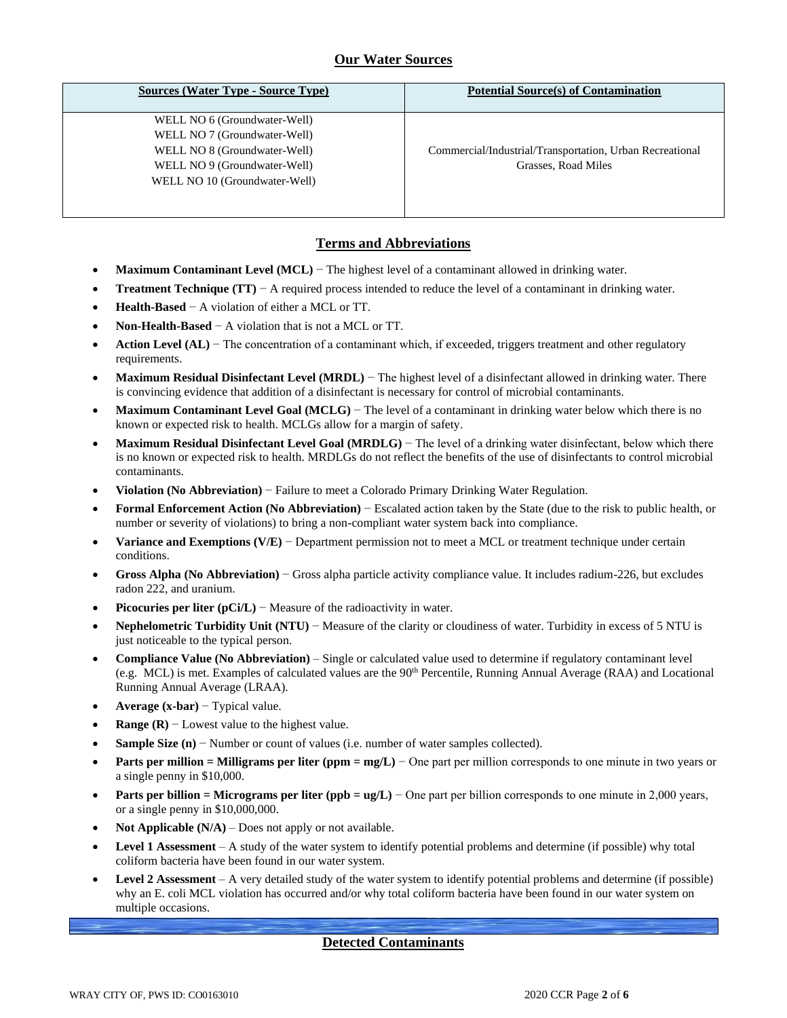# **Our Water Sources**

| <b>Sources (Water Type - Source Type)</b> | <b>Potential Source(s) of Contamination</b>              |
|-------------------------------------------|----------------------------------------------------------|
| WELL NO 6 (Groundwater-Well)              |                                                          |
| WELL NO 7 (Groundwater-Well)              |                                                          |
| WELL NO 8 (Groundwater-Well)              | Commercial/Industrial/Transportation, Urban Recreational |
| WELL NO 9 (Groundwater-Well)              | Grasses, Road Miles                                      |
| WELL NO 10 (Groundwater-Well)             |                                                          |
|                                           |                                                          |
|                                           |                                                          |

## **Terms and Abbreviations**

- **Maximum Contaminant Level (MCL)** − The highest level of a contaminant allowed in drinking water.
- **Treatment Technique (TT)** − A required process intended to reduce the level of a contaminant in drinking water.
- **Health-Based** − A violation of either a MCL or TT.
- **Non-Health-Based** − A violation that is not a MCL or TT.
- **Action Level (AL)** − The concentration of a contaminant which, if exceeded, triggers treatment and other regulatory requirements.
- **Maximum Residual Disinfectant Level (MRDL)** − The highest level of a disinfectant allowed in drinking water. There is convincing evidence that addition of a disinfectant is necessary for control of microbial contaminants.
- **Maximum Contaminant Level Goal (MCLG)** − The level of a contaminant in drinking water below which there is no known or expected risk to health. MCLGs allow for a margin of safety.
- **Maximum Residual Disinfectant Level Goal (MRDLG)** − The level of a drinking water disinfectant, below which there is no known or expected risk to health. MRDLGs do not reflect the benefits of the use of disinfectants to control microbial contaminants.
- **Violation (No Abbreviation)** − Failure to meet a Colorado Primary Drinking Water Regulation.
- **Formal Enforcement Action (No Abbreviation)** − Escalated action taken by the State (due to the risk to public health, or number or severity of violations) to bring a non-compliant water system back into compliance.
- **Variance and Exemptions (V/E)** − Department permission not to meet a MCL or treatment technique under certain conditions.
- **Gross Alpha (No Abbreviation)** − Gross alpha particle activity compliance value. It includes radium-226, but excludes radon 222, and uranium.
- **Picocuries per liter (pCi/L)** Measure of the radioactivity in water.
- **Nephelometric Turbidity Unit (NTU)** − Measure of the clarity or cloudiness of water. Turbidity in excess of 5 NTU is just noticeable to the typical person.
- **Compliance Value (No Abbreviation)** Single or calculated value used to determine if regulatory contaminant level (e.g. MCL) is met. Examples of calculated values are the  $90<sup>th</sup>$  Percentile, Running Annual Average (RAA) and Locational Running Annual Average (LRAA).
- **Average (x-bar)** − Typical value.
- **Range (R)**  $-$  Lowest value to the highest value.
- **Sample Size (n)** − Number or count of values (i.e. number of water samples collected).
- **Parts per million = Milligrams per liter (ppm = mg/L)** − One part per million corresponds to one minute in two years or a single penny in \$10,000.
- **Parts per billion = Micrograms per liter (ppb = ug/L)** − One part per billion corresponds to one minute in 2,000 years, or a single penny in \$10,000,000.
- **Not Applicable**  $(N/A)$  Does not apply or not available.
- **Level 1 Assessment** A study of the water system to identify potential problems and determine (if possible) why total coliform bacteria have been found in our water system.
- **Level 2 Assessment** A very detailed study of the water system to identify potential problems and determine (if possible) why an E. coli MCL violation has occurred and/or why total coliform bacteria have been found in our water system on multiple occasions.

### **Detected Contaminants**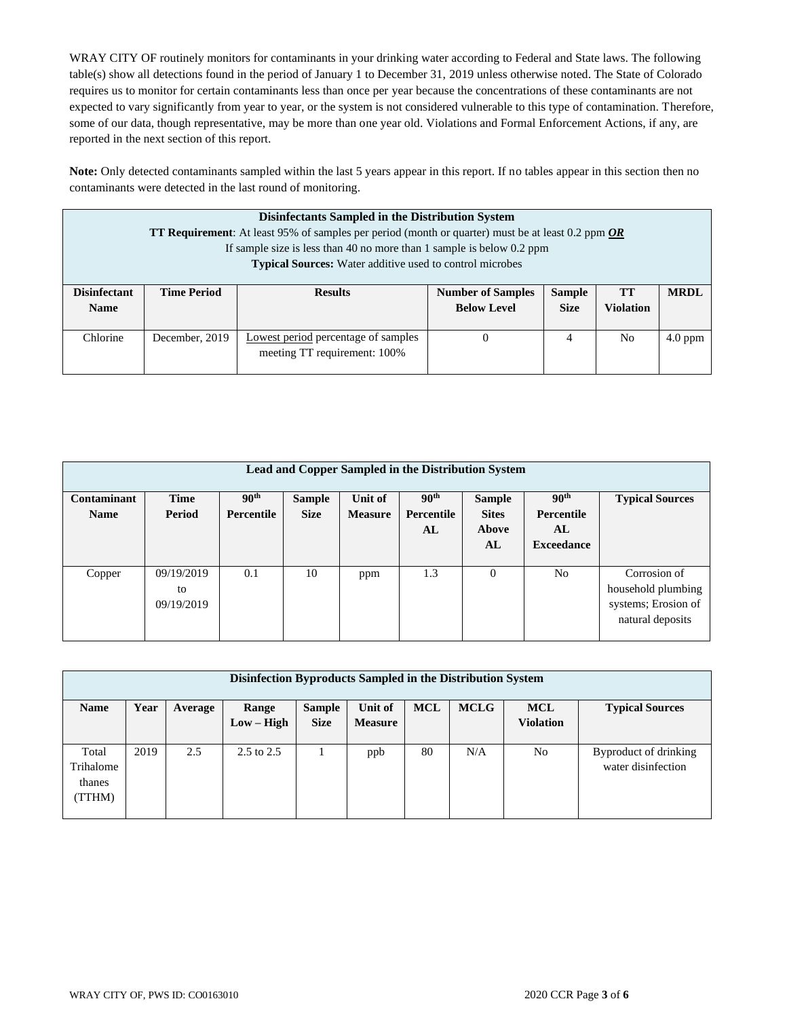WRAY CITY OF routinely monitors for contaminants in your drinking water according to Federal and State laws. The following table(s) show all detections found in the period of January 1 to December 31, 2019 unless otherwise noted. The State of Colorado requires us to monitor for certain contaminants less than once per year because the concentrations of these contaminants are not expected to vary significantly from year to year, or the system is not considered vulnerable to this type of contamination. Therefore, some of our data, though representative, may be more than one year old. Violations and Formal Enforcement Actions, if any, are reported in the next section of this report.

**Note:** Only detected contaminants sampled within the last 5 years appear in this report. If no tables appear in this section then no contaminants were detected in the last round of monitoring.

|                                    | Disinfectants Sampled in the Distribution System<br><b>TT Requirement:</b> At least 95% of samples per period (month or quarter) must be at least 0.2 ppm OR<br>If sample size is less than 40 no more than 1 sample is below 0.2 ppm<br><b>Typical Sources:</b> Water additive used to control microbes |                                                                     |                                                |                              |                               |             |
|------------------------------------|----------------------------------------------------------------------------------------------------------------------------------------------------------------------------------------------------------------------------------------------------------------------------------------------------------|---------------------------------------------------------------------|------------------------------------------------|------------------------------|-------------------------------|-------------|
| <b>Disinfectant</b><br><b>Name</b> | <b>Time Period</b>                                                                                                                                                                                                                                                                                       | <b>Results</b>                                                      | <b>Number of Samples</b><br><b>Below Level</b> | <b>Sample</b><br><b>Size</b> | <b>TT</b><br><b>Violation</b> | <b>MRDL</b> |
| Chlorine                           | December, 2019                                                                                                                                                                                                                                                                                           | Lowest period percentage of samples<br>meeting TT requirement: 100% | $\theta$                                       | 4                            | N <sub>0</sub>                | $4.0$ ppm   |

|                                   | <b>Lead and Copper Sampled in the Distribution System</b> |                                       |                              |                           |                                      |                                              |                                                           |                                                                               |  |
|-----------------------------------|-----------------------------------------------------------|---------------------------------------|------------------------------|---------------------------|--------------------------------------|----------------------------------------------|-----------------------------------------------------------|-------------------------------------------------------------------------------|--|
| <b>Contaminant</b><br><b>Name</b> | <b>Time</b><br>Period                                     | 90 <sup>th</sup><br><b>Percentile</b> | <b>Sample</b><br><b>Size</b> | Unit of<br><b>Measure</b> | 90 <sup>th</sup><br>Percentile<br>AL | <b>Sample</b><br><b>Sites</b><br>Above<br>AL | 90 <sup>th</sup><br>Percentile<br>AL<br><b>Exceedance</b> | <b>Typical Sources</b>                                                        |  |
| Copper                            | 09/19/2019<br>to<br>09/19/2019                            | 0.1                                   | 10                           | ppm                       | 1.3                                  | $\Omega$                                     | No                                                        | Corrosion of<br>household plumbing<br>systems; Erosion of<br>natural deposits |  |

| Disinfection Byproducts Sampled in the Distribution System |      |         |                       |               |                |            |             |                  |                        |  |  |
|------------------------------------------------------------|------|---------|-----------------------|---------------|----------------|------------|-------------|------------------|------------------------|--|--|
| <b>Name</b>                                                | Year | Average | Range                 | <b>Sample</b> | Unit of        | <b>MCL</b> | <b>MCLG</b> | <b>MCL</b>       | <b>Typical Sources</b> |  |  |
|                                                            |      |         | $Low - High$          | <b>Size</b>   | <b>Measure</b> |            |             | <b>Violation</b> |                        |  |  |
|                                                            |      |         |                       |               |                |            |             |                  |                        |  |  |
| Total                                                      | 2019 | 2.5     | $2.5 \text{ to } 2.5$ |               | ppb            | 80         | N/A         | N <sub>o</sub>   | Byproduct of drinking  |  |  |
| Trihalome                                                  |      |         |                       |               |                |            |             |                  | water disinfection     |  |  |
| thanes                                                     |      |         |                       |               |                |            |             |                  |                        |  |  |
| (TTHM)                                                     |      |         |                       |               |                |            |             |                  |                        |  |  |
|                                                            |      |         |                       |               |                |            |             |                  |                        |  |  |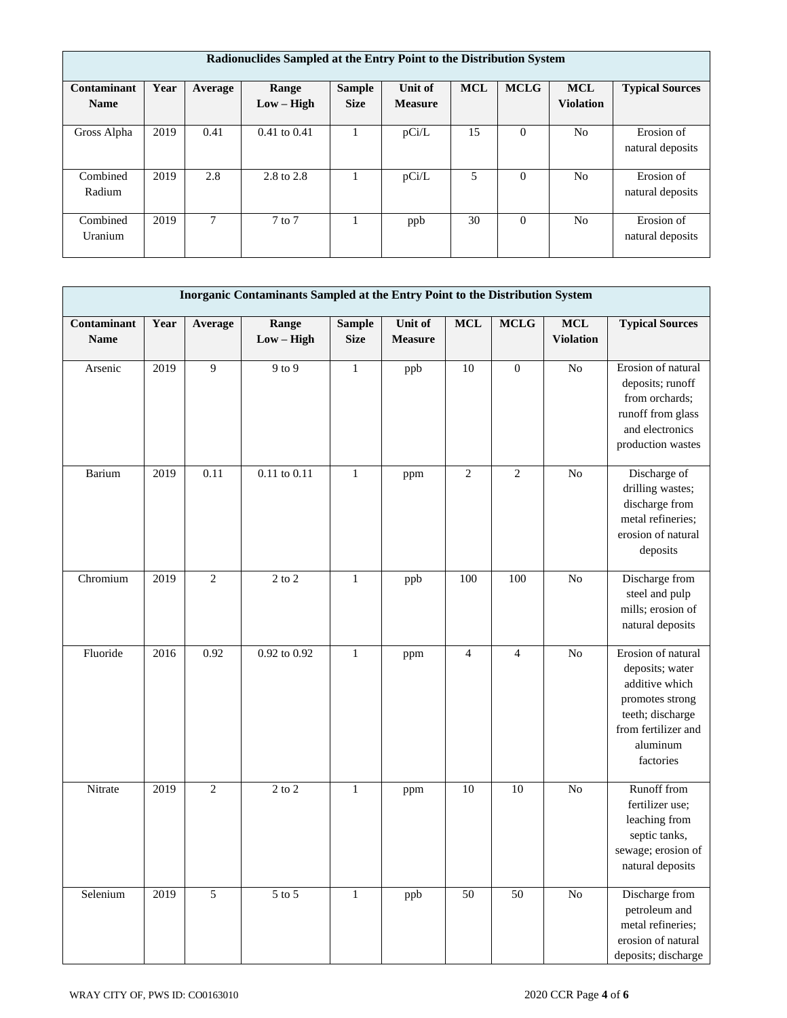|                            | Radionuclides Sampled at the Entry Point to the Distribution System |         |                       |                              |                           |            |             |                                |                                |  |  |
|----------------------------|---------------------------------------------------------------------|---------|-----------------------|------------------------------|---------------------------|------------|-------------|--------------------------------|--------------------------------|--|--|
| Contaminant<br><b>Name</b> | Year                                                                | Average | Range<br>$Low - High$ | <b>Sample</b><br><b>Size</b> | Unit of<br><b>Measure</b> | <b>MCL</b> | <b>MCLG</b> | <b>MCL</b><br><b>Violation</b> | <b>Typical Sources</b>         |  |  |
| Gross Alpha                | 2019                                                                | 0.41    | $0.41$ to $0.41$      |                              | pCi/L                     | 15         | $\Omega$    | N <sub>0</sub>                 | Erosion of<br>natural deposits |  |  |
| Combined<br>Radium         | 2019                                                                | 2.8     | 2.8 to 2.8            |                              | pCi/L                     | 5          | $\Omega$    | N <sub>0</sub>                 | Erosion of<br>natural deposits |  |  |
| Combined<br>Uranium        | 2019                                                                | 7       | $7$ to $7$            |                              | ppb                       | 30         | $\Omega$    | N <sub>0</sub>                 | Erosion of<br>natural deposits |  |  |

|                            | Inorganic Contaminants Sampled at the Entry Point to the Distribution System |                |                       |                              |                           |                 |                  |                               |                                                                                                                                                |  |
|----------------------------|------------------------------------------------------------------------------|----------------|-----------------------|------------------------------|---------------------------|-----------------|------------------|-------------------------------|------------------------------------------------------------------------------------------------------------------------------------------------|--|
| Contaminant<br><b>Name</b> | Year                                                                         | Average        | Range<br>$Low - High$ | <b>Sample</b><br><b>Size</b> | Unit of<br><b>Measure</b> | $\bf MCL$       | <b>MCLG</b>      | $\bf MCL$<br><b>Violation</b> | <b>Typical Sources</b>                                                                                                                         |  |
| Arsenic                    | 2019                                                                         | 9              | $9$ to $9$            | $\mathbf{1}$                 | ppb                       | 10              | $\boldsymbol{0}$ | No                            | Erosion of natural<br>deposits; runoff<br>from orchards;<br>runoff from glass<br>and electronics<br>production wastes                          |  |
| Barium                     | 2019                                                                         | 0.11           | 0.11 to 0.11          | $\mathbf{1}$                 | ppm                       | $\sqrt{2}$      | $\sqrt{2}$       | ${\rm No}$                    | Discharge of<br>drilling wastes;<br>discharge from<br>metal refineries;<br>erosion of natural<br>deposits                                      |  |
| Chromium                   | 2019                                                                         | $\mathbf{2}$   | $2$ to $2\,$          | $\mathbf{1}$                 | ppb                       | 100             | 100              | $\rm No$                      | Discharge from<br>steel and pulp<br>mills; erosion of<br>natural deposits                                                                      |  |
| Fluoride                   | 2016                                                                         | 0.92           | 0.92 to 0.92          | $\mathbf{1}$                 | ppm                       | $\overline{4}$  | $\overline{4}$   | N <sub>o</sub>                | Erosion of natural<br>deposits; water<br>additive which<br>promotes strong<br>teeth; discharge<br>from fertilizer and<br>aluminum<br>factories |  |
| Nitrate                    | 2019                                                                         | $\overline{2}$ | $2$ to $2\,$          | $\mathbf{1}$                 | ppm                       | 10              | 10               | ${\rm No}$                    | Runoff from<br>fertilizer use;<br>leaching from<br>septic tanks,<br>sewage; erosion of<br>natural deposits                                     |  |
| Selenium                   | 2019                                                                         | $\overline{5}$ | $5$ to $5$            | $\,1$                        | ppb                       | $\overline{50}$ | $\overline{50}$  | $\overline{No}$               | Discharge from<br>petroleum and<br>metal refineries;<br>erosion of natural<br>deposits; discharge                                              |  |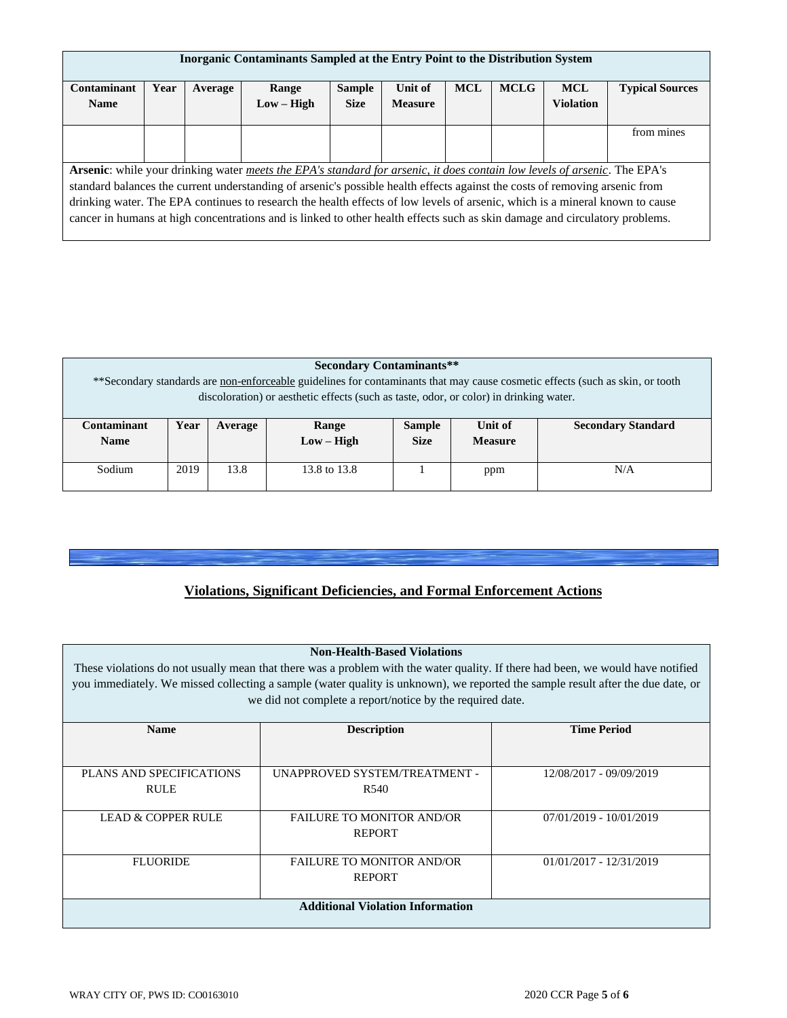| Inorganic Contaminants Sampled at the Entry Point to the Distribution System |      |         |                                                                                                                              |               |                |            |             |                  |                        |
|------------------------------------------------------------------------------|------|---------|------------------------------------------------------------------------------------------------------------------------------|---------------|----------------|------------|-------------|------------------|------------------------|
| Contaminant                                                                  | Year | Average | Range                                                                                                                        | <b>Sample</b> | Unit of        | <b>MCL</b> | <b>MCLG</b> | <b>MCL</b>       | <b>Typical Sources</b> |
| <b>Name</b>                                                                  |      |         | $Low - High$                                                                                                                 | <b>Size</b>   | <b>Measure</b> |            |             | <b>Violation</b> |                        |
|                                                                              |      |         |                                                                                                                              |               |                |            |             |                  |                        |
|                                                                              |      |         |                                                                                                                              |               |                |            |             |                  | from mines             |
|                                                                              |      |         |                                                                                                                              |               |                |            |             |                  |                        |
|                                                                              |      |         |                                                                                                                              |               |                |            |             |                  |                        |
|                                                                              |      |         | Arsenic: while your drinking water meets the EPA's standard for arsenic, it does contain low levels of arsenic. The EPA's    |               |                |            |             |                  |                        |
|                                                                              |      |         | standard balances the current understanding of arsenic's possible health effects against the costs of removing arsenic from  |               |                |            |             |                  |                        |
|                                                                              |      |         | drinking water. The EPA continues to research the health effects of low levels of arsenic, which is a mineral known to cause |               |                |            |             |                  |                        |
|                                                                              |      |         | cancer in humans at high concentrations and is linked to other health effects such as skin damage and circulatory problems.  |               |                |            |             |                  |                        |
|                                                                              |      |         |                                                                                                                              |               |                |            |             |                  |                        |

|                                                                                                                               | <b>Secondary Contaminants**</b>                                                        |         |              |                               |         |                           |  |  |  |  |
|-------------------------------------------------------------------------------------------------------------------------------|----------------------------------------------------------------------------------------|---------|--------------|-------------------------------|---------|---------------------------|--|--|--|--|
| **Secondary standards are non-enforceable guidelines for contaminants that may cause cosmetic effects (such as skin, or tooth |                                                                                        |         |              |                               |         |                           |  |  |  |  |
|                                                                                                                               | discoloration) or aesthetic effects (such as taste, odor, or color) in drinking water. |         |              |                               |         |                           |  |  |  |  |
|                                                                                                                               |                                                                                        |         |              |                               |         |                           |  |  |  |  |
| Contaminant                                                                                                                   | Year                                                                                   | Average | Range        | <b>Sample</b>                 | Unit of | <b>Secondary Standard</b> |  |  |  |  |
| <b>Name</b>                                                                                                                   |                                                                                        |         | $Low - High$ | <b>Size</b><br><b>Measure</b> |         |                           |  |  |  |  |
|                                                                                                                               |                                                                                        |         |              |                               |         |                           |  |  |  |  |
| Sodium                                                                                                                        | 2019                                                                                   | 13.8    | 13.8 to 13.8 |                               | ppm     | N/A                       |  |  |  |  |
|                                                                                                                               |                                                                                        |         |              |                               |         |                           |  |  |  |  |

### **Violations, Significant Deficiencies, and Formal Enforcement Actions**

# **Non-Health-Based Violations**

These violations do not usually mean that there was a problem with the water quality. If there had been, we would have notified you immediately. We missed collecting a sample (water quality is unknown), we reported the sample result after the due date, or we did not complete a report/notice by the required date.

| <b>Name</b>              | <b>Description</b>                      | <b>Time Period</b>        |
|--------------------------|-----------------------------------------|---------------------------|
|                          |                                         |                           |
|                          |                                         |                           |
|                          |                                         |                           |
| PLANS AND SPECIFICATIONS | UNAPPROVED SYSTEM/TREATMENT -           | 12/08/2017 - 09/09/2019   |
| <b>RULE</b>              | R <sub>540</sub>                        |                           |
|                          |                                         |                           |
|                          |                                         |                           |
| LEAD & COPPER RULE       | <b>FAILURE TO MONITOR AND/OR</b>        | 07/01/2019 - 10/01/2019   |
|                          | <b>REPORT</b>                           |                           |
|                          |                                         |                           |
| <b>FLUORIDE</b>          | <b>FAILURE TO MONITOR AND/OR</b>        | $01/01/2017 - 12/31/2019$ |
|                          |                                         |                           |
|                          | <b>REPORT</b>                           |                           |
|                          |                                         |                           |
|                          | <b>Additional Violation Information</b> |                           |
|                          |                                         |                           |
|                          |                                         |                           |